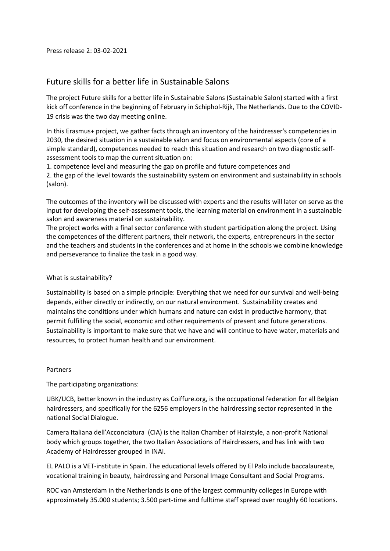## Future skills for a better life in Sustainable Salons

The project Future skills for a better life in Sustainable Salons (Sustainable Salon) started with a first kick off conference in the beginning of February in Schiphol-Rijk, The Netherlands. Due to the COVID-19 crisis was the two day meeting online.

In this Erasmus+ project, we gather facts through an inventory of the hairdresser's competencies in 2030, the desired situation in a sustainable salon and focus on environmental aspects (core of a simple standard), competences needed to reach this situation and research on two diagnostic selfassessment tools to map the current situation on:

1. competence level and measuring the gap on profile and future competences and 2. the gap of the level towards the sustainability system on environment and sustainability in schools (salon).

The outcomes of the inventory will be discussed with experts and the results will later on serve as the input for developing the self-assessment tools, the learning material on environment in a sustainable salon and awareness material on sustainability.

The project works with a final sector conference with student participation along the project. Using the competences of the different partners, their network, the experts, entrepreneurs in the sector and the teachers and students in the conferences and at home in the schools we combine knowledge and perseverance to finalize the task in a good way.

## What is sustainability?

Sustainability is based on a simple principle: Everything that we need for our survival and well-being depends, either directly or indirectly, on our natural environment. Sustainability creates and maintains the conditions under which humans and nature can exist in productive harmony, that permit fulfilling the social, economic and other requirements of present and future generations. Sustainability is important to make sure that we have and will continue to have water, materials and resources, to protect human health and our environment.

## Partners

The participating organizations:

UBK/UCB, better known in the industry as Coiffure.org, is the occupational federation for all Belgian hairdressers, and specifically for the 6256 employers in the hairdressing sector represented in the national Social Dialogue.

Camera Italiana dell'Acconciatura (CIA) is the Italian Chamber of Hairstyle, a non-profit National body which groups together, the two Italian Associations of Hairdressers, and has link with two Academy of Hairdresser grouped in INAI.

EL PALO is a VET-institute in Spain. The educational levels offered by El Palo include baccalaureate, vocational training in beauty, hairdressing and Personal Image Consultant and Social Programs.

ROC van Amsterdam in the Netherlands is one of the largest community colleges in Europe with approximately 35.000 students; 3.500 part-time and fulltime staff spread over roughly 60 locations.